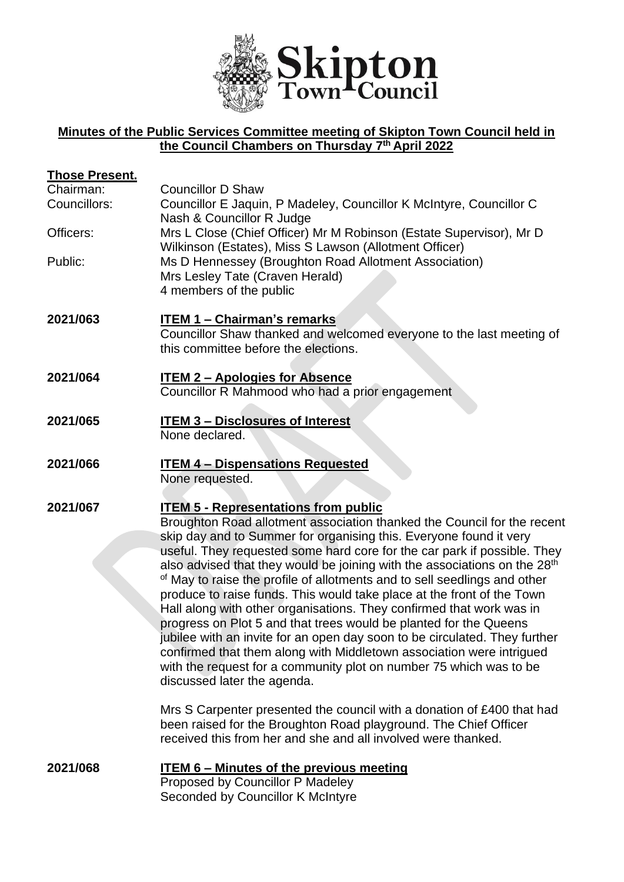

# **Minutes of the Public Services Committee meeting of Skipton Town Council held in the Council Chambers on Thursday 7 th April 2022**

| <b>Those Present.</b><br>Chairman:<br>Councillors:<br>Officers: | <b>Councillor D Shaw</b><br>Councillor E Jaquin, P Madeley, Councillor K McIntyre, Councillor C<br>Nash & Councillor R Judge<br>Mrs L Close (Chief Officer) Mr M Robinson (Estate Supervisor), Mr D<br>Wilkinson (Estates), Miss S Lawson (Allotment Officer)                                                                                                                                                                                                                                                                                                                                                                                                                                                                                                                                                                                                                                                                                                                                                                                                                             |
|-----------------------------------------------------------------|-------------------------------------------------------------------------------------------------------------------------------------------------------------------------------------------------------------------------------------------------------------------------------------------------------------------------------------------------------------------------------------------------------------------------------------------------------------------------------------------------------------------------------------------------------------------------------------------------------------------------------------------------------------------------------------------------------------------------------------------------------------------------------------------------------------------------------------------------------------------------------------------------------------------------------------------------------------------------------------------------------------------------------------------------------------------------------------------|
| Public:                                                         | Ms D Hennessey (Broughton Road Allotment Association)<br>Mrs Lesley Tate (Craven Herald)<br>4 members of the public                                                                                                                                                                                                                                                                                                                                                                                                                                                                                                                                                                                                                                                                                                                                                                                                                                                                                                                                                                       |
| 2021/063                                                        | <b>ITEM 1 - Chairman's remarks</b><br>Councillor Shaw thanked and welcomed everyone to the last meeting of<br>this committee before the elections.                                                                                                                                                                                                                                                                                                                                                                                                                                                                                                                                                                                                                                                                                                                                                                                                                                                                                                                                        |
| 2021/064                                                        | <b>ITEM 2 - Apologies for Absence</b><br>Councillor R Mahmood who had a prior engagement                                                                                                                                                                                                                                                                                                                                                                                                                                                                                                                                                                                                                                                                                                                                                                                                                                                                                                                                                                                                  |
| 2021/065                                                        | <b>ITEM 3 - Disclosures of Interest</b><br>None declared.                                                                                                                                                                                                                                                                                                                                                                                                                                                                                                                                                                                                                                                                                                                                                                                                                                                                                                                                                                                                                                 |
| 2021/066                                                        | <b>ITEM 4 - Dispensations Requested</b><br>None requested.                                                                                                                                                                                                                                                                                                                                                                                                                                                                                                                                                                                                                                                                                                                                                                                                                                                                                                                                                                                                                                |
| 2021/067                                                        | <b>ITEM 5 - Representations from public</b><br>Broughton Road allotment association thanked the Council for the recent<br>skip day and to Summer for organising this. Everyone found it very<br>useful. They requested some hard core for the car park if possible. They<br>also advised that they would be joining with the associations on the 28 <sup>th</sup><br><sup>of</sup> May to raise the profile of allotments and to sell seedlings and other<br>produce to raise funds. This would take place at the front of the Town<br>Hall along with other organisations. They confirmed that work was in<br>progress on Plot 5 and that trees would be planted for the Queens<br>jubilee with an invite for an open day soon to be circulated. They further<br>confirmed that them along with Middletown association were intrigued<br>with the request for a community plot on number 75 which was to be<br>discussed later the agenda.<br>Mrs S Carpenter presented the council with a donation of £400 that had<br>been raised for the Broughton Road playground. The Chief Officer |
|                                                                 | received this from her and she and all involved were thanked.                                                                                                                                                                                                                                                                                                                                                                                                                                                                                                                                                                                                                                                                                                                                                                                                                                                                                                                                                                                                                             |
| 2021/068                                                        | <b>ITEM 6 - Minutes of the previous meeting</b><br>Proposed by Councillor P Madeley<br>Seconded by Councillor K McIntyre                                                                                                                                                                                                                                                                                                                                                                                                                                                                                                                                                                                                                                                                                                                                                                                                                                                                                                                                                                  |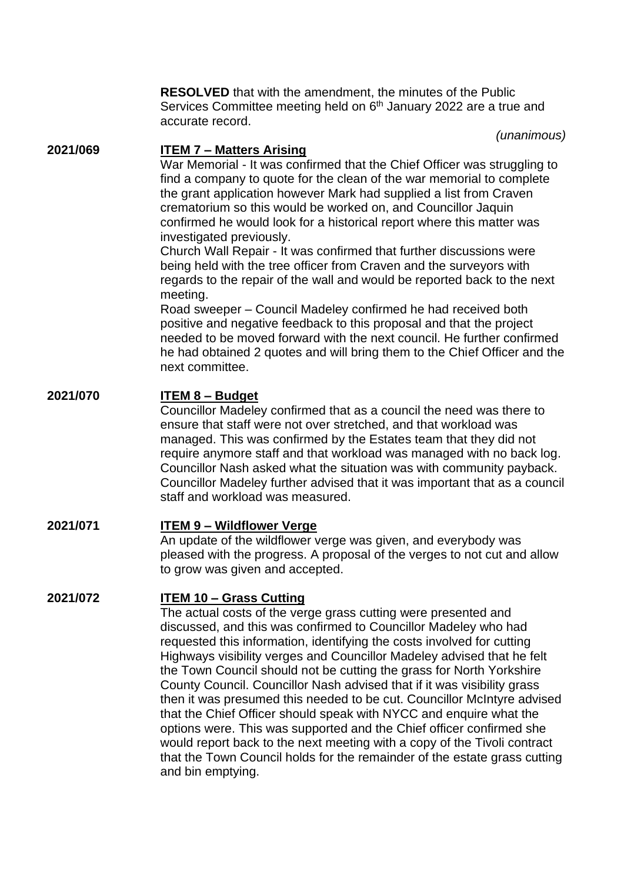**RESOLVED** that with the amendment, the minutes of the Public Services Committee meeting held on 6<sup>th</sup> January 2022 are a true and accurate record.

*(unanimous)*

### **2021/069 ITEM 7 – Matters Arising**

War Memorial - It was confirmed that the Chief Officer was struggling to find a company to quote for the clean of the war memorial to complete the grant application however Mark had supplied a list from Craven crematorium so this would be worked on, and Councillor Jaquin confirmed he would look for a historical report where this matter was investigated previously.

Church Wall Repair - It was confirmed that further discussions were being held with the tree officer from Craven and the surveyors with regards to the repair of the wall and would be reported back to the next meeting.

Road sweeper – Council Madeley confirmed he had received both positive and negative feedback to this proposal and that the project needed to be moved forward with the next council. He further confirmed he had obtained 2 quotes and will bring them to the Chief Officer and the next committee.

## **2021/070 ITEM 8 – Budget**

Councillor Madeley confirmed that as a council the need was there to ensure that staff were not over stretched, and that workload was managed. This was confirmed by the Estates team that they did not require anymore staff and that workload was managed with no back log. Councillor Nash asked what the situation was with community payback. Councillor Madeley further advised that it was important that as a council staff and workload was measured.

# **2021/071 ITEM 9 – Wildflower Verge**

An update of the wildflower verge was given, and everybody was pleased with the progress. A proposal of the verges to not cut and allow to grow was given and accepted.

#### **2021/072 ITEM 10 – Grass Cutting**

The actual costs of the verge grass cutting were presented and discussed, and this was confirmed to Councillor Madeley who had requested this information, identifying the costs involved for cutting Highways visibility verges and Councillor Madeley advised that he felt the Town Council should not be cutting the grass for North Yorkshire County Council. Councillor Nash advised that if it was visibility grass then it was presumed this needed to be cut. Councillor McIntyre advised that the Chief Officer should speak with NYCC and enquire what the options were. This was supported and the Chief officer confirmed she would report back to the next meeting with a copy of the Tivoli contract that the Town Council holds for the remainder of the estate grass cutting and bin emptying.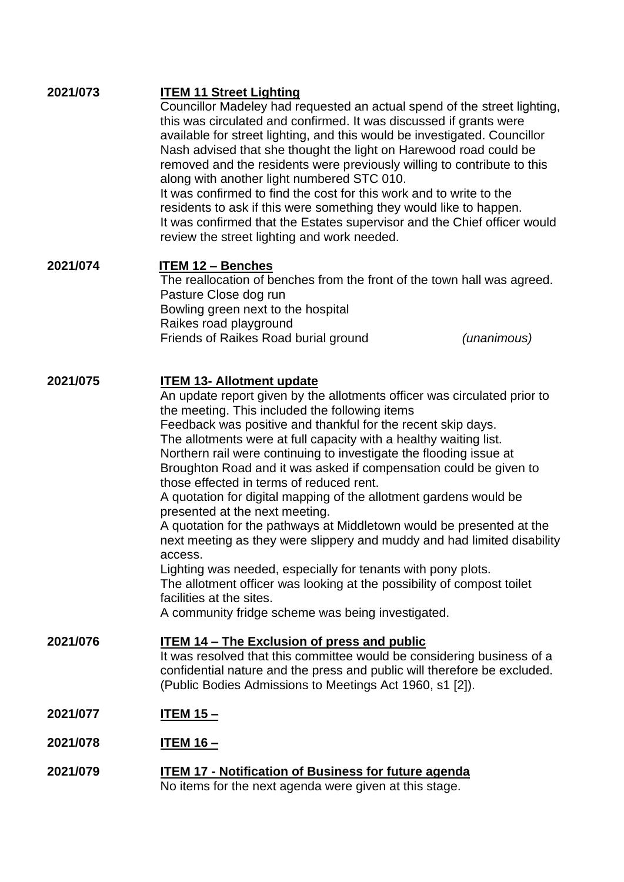| 2021/073 | <b>ITEM 11 Street Lighting</b><br>Councillor Madeley had requested an actual spend of the street lighting,<br>this was circulated and confirmed. It was discussed if grants were<br>available for street lighting, and this would be investigated. Councillor<br>Nash advised that she thought the light on Harewood road could be<br>removed and the residents were previously willing to contribute to this<br>along with another light numbered STC 010.<br>It was confirmed to find the cost for this work and to write to the<br>residents to ask if this were something they would like to happen.<br>It was confirmed that the Estates supervisor and the Chief officer would<br>review the street lighting and work needed.                                                                                                                                                                                                                                                        |
|----------|--------------------------------------------------------------------------------------------------------------------------------------------------------------------------------------------------------------------------------------------------------------------------------------------------------------------------------------------------------------------------------------------------------------------------------------------------------------------------------------------------------------------------------------------------------------------------------------------------------------------------------------------------------------------------------------------------------------------------------------------------------------------------------------------------------------------------------------------------------------------------------------------------------------------------------------------------------------------------------------------|
| 2021/074 | <b>ITEM 12 - Benches</b><br>The reallocation of benches from the front of the town hall was agreed.<br>Pasture Close dog run<br>Bowling green next to the hospital<br>Raikes road playground<br>Friends of Raikes Road burial ground<br>(unanimous)                                                                                                                                                                                                                                                                                                                                                                                                                                                                                                                                                                                                                                                                                                                                        |
| 2021/075 | <b>ITEM 13- Allotment update</b><br>An update report given by the allotments officer was circulated prior to<br>the meeting. This included the following items<br>Feedback was positive and thankful for the recent skip days.<br>The allotments were at full capacity with a healthy waiting list.<br>Northern rail were continuing to investigate the flooding issue at<br>Broughton Road and it was asked if compensation could be given to<br>those effected in terms of reduced rent.<br>A quotation for digital mapping of the allotment gardens would be<br>presented at the next meeting.<br>A quotation for the pathways at Middletown would be presented at the<br>next meeting as they were slippery and muddy and had limited disability<br>access.<br>Lighting was needed, especially for tenants with pony plots.<br>The allotment officer was looking at the possibility of compost toilet<br>facilities at the sites.<br>A community fridge scheme was being investigated. |
| 2021/076 | <b>ITEM 14 – The Exclusion of press and public</b><br>It was resolved that this committee would be considering business of a<br>confidential nature and the press and public will therefore be excluded.<br>(Public Bodies Admissions to Meetings Act 1960, s1 [2]).                                                                                                                                                                                                                                                                                                                                                                                                                                                                                                                                                                                                                                                                                                                       |
| 2021/077 | <u>ITEM 15 – </u>                                                                                                                                                                                                                                                                                                                                                                                                                                                                                                                                                                                                                                                                                                                                                                                                                                                                                                                                                                          |
| 2021/078 | <u> ІТЕМ 16 – </u>                                                                                                                                                                                                                                                                                                                                                                                                                                                                                                                                                                                                                                                                                                                                                                                                                                                                                                                                                                         |
| 2021/079 | <b>ITEM 17 - Notification of Business for future agenda</b><br>No items for the next agenda were given at this stage.                                                                                                                                                                                                                                                                                                                                                                                                                                                                                                                                                                                                                                                                                                                                                                                                                                                                      |